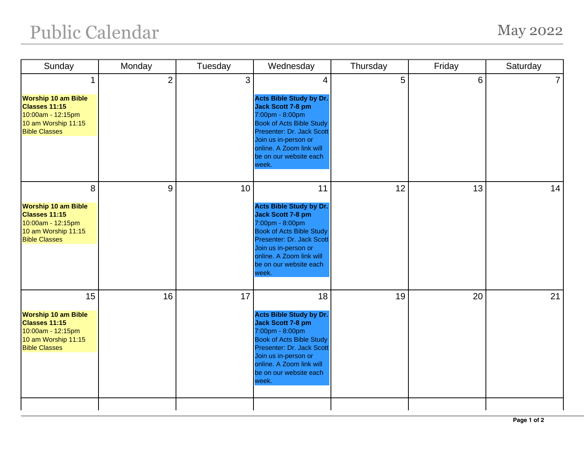## Public Calendar May 2022

| Sunday                                                                                                                      | Monday         | Tuesday | Wednesday                                                                                                                                                                                                                                  | Thursday | Friday | Saturday       |
|-----------------------------------------------------------------------------------------------------------------------------|----------------|---------|--------------------------------------------------------------------------------------------------------------------------------------------------------------------------------------------------------------------------------------------|----------|--------|----------------|
| 1<br><b>Worship 10 am Bible</b><br>Classes 11:15<br>10:00am - 12:15pm<br>10 am Worship 11:15<br><b>Bible Classes</b>        | $\overline{2}$ | 3       | 4<br><b>Acts Bible Study by Dr.</b><br>Jack Scott 7-8 pm<br>7:00pm - 8:00pm<br><b>Book of Acts Bible Study</b><br>Presenter: Dr. Jack Scott<br>Join us in-person or<br>online. A Zoom link will<br>be on our website each<br>week.         | 5        | 6      | $\overline{7}$ |
| 8<br><b>Worship 10 am Bible</b><br><b>Classes 11:15</b><br>10:00am - 12:15pm<br>10 am Worship 11:15<br><b>Bible Classes</b> | 9              | 10      | 11<br><b>Acts Bible Study by Dr.</b><br><b>Jack Scott 7-8 pm</b><br>7:00pm - 8:00pm<br><b>Book of Acts Bible Study</b><br>Presenter: Dr. Jack Scott<br>Join us in-person or<br>online. A Zoom link will<br>be on our website each<br>week. | 12       | 13     | 14             |
| 15<br><b>Worship 10 am Bible</b><br>Classes 11:15<br>10:00am - 12:15pm<br>10 am Worship 11:15<br><b>Bible Classes</b>       | 16             | 17      | 18<br><b>Acts Bible Study by Dr.</b><br><b>Jack Scott 7-8 pm</b><br>7:00pm - 8:00pm<br><b>Book of Acts Bible Study</b><br>Presenter: Dr. Jack Scott<br>Join us in-person or<br>online. A Zoom link will<br>be on our website each<br>week. | 19       | 20     | 21             |